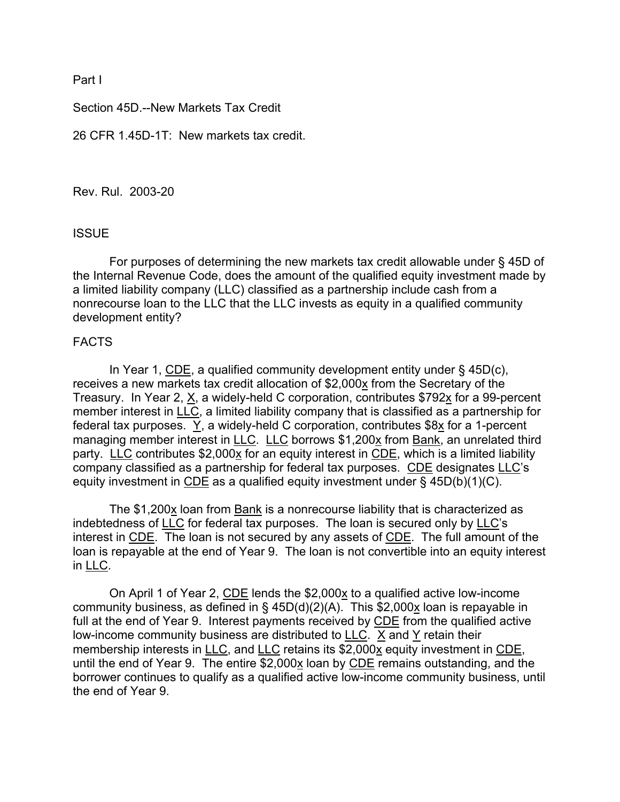Part I

Section 45D.--New Markets Tax Credit

26 CFR 1.45D-1T: New markets tax credit.

Rev. Rul. 2003-20

### **ISSUE**

 For purposes of determining the new markets tax credit allowable under § 45D of the Internal Revenue Code, does the amount of the qualified equity investment made by a limited liability company (LLC) classified as a partnership include cash from a nonrecourse loan to the LLC that the LLC invests as equity in a qualified community development entity?

## FACTS

 In Year 1, CDE, a qualified community development entity under § 45D(c), receives a new markets tax credit allocation of \$2,000x from the Secretary of the Treasury. In Year 2,  $X$ , a widely-held C corporation, contributes \$792 $X$  for a 99-percent member interest in LLC, a limited liability company that is classified as a partnership for federal tax purposes. Y, a widely-held C corporation, contributes \$8x for a 1-percent managing member interest in LLC. LLC borrows \$1,200x from Bank, an unrelated third party. LLC contributes \$2,000x for an equity interest in CDE, which is a limited liability company classified as a partnership for federal tax purposes. CDE designates LLC's equity investment in CDE as a qualified equity investment under § 45D(b)(1)(C).

 The \$1,200x loan from Bank is a nonrecourse liability that is characterized as indebtedness of LLC for federal tax purposes. The loan is secured only by LLC's interest in CDE. The loan is not secured by any assets of CDE. The full amount of the loan is repayable at the end of Year 9. The loan is not convertible into an equity interest in LLC.

On April 1 of Year 2,  $CDE$  lends the \$2,000 $\times$  to a qualified active low-income community business, as defined in  $\S$  45D(d)(2)(A). This \$2,000 $x$  loan is repayable in full at the end of Year 9. Interest payments received by CDE from the qualified active low-income community business are distributed to  $LLC$ .  $X$  and  $Y$  retain their membership interests in LLC, and LLC retains its \$2,000x equity investment in CDE, until the end of Year 9. The entire \$2,000x loan by CDE remains outstanding, and the borrower continues to qualify as a qualified active low-income community business, until the end of Year 9.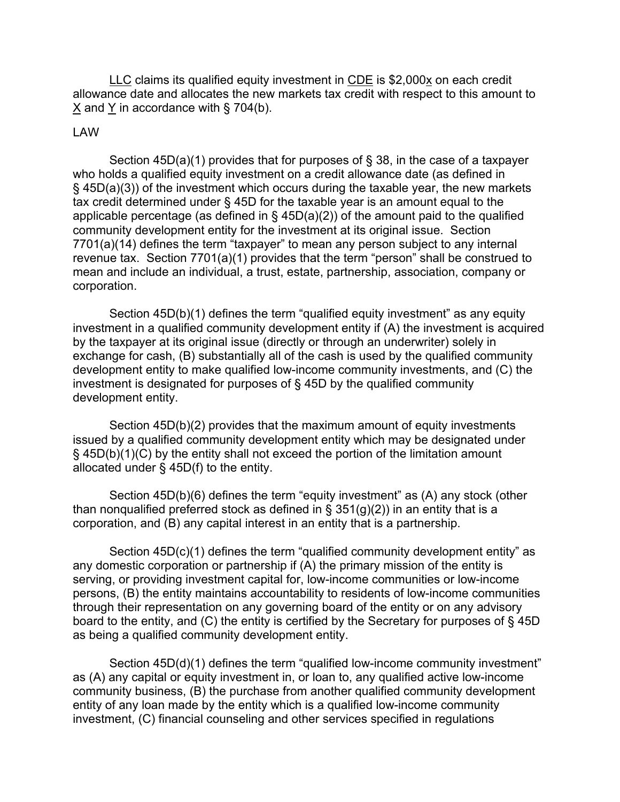LLC claims its qualified equity investment in CDE is \$2,000x on each credit allowance date and allocates the new markets tax credit with respect to this amount to X and Y in accordance with § 704(b).

# LAW

 Section 45D(a)(1) provides that for purposes of § 38, in the case of a taxpayer who holds a qualified equity investment on a credit allowance date (as defined in § 45D(a)(3)) of the investment which occurs during the taxable year, the new markets tax credit determined under § 45D for the taxable year is an amount equal to the applicable percentage (as defined in  $\S$  45D(a)(2)) of the amount paid to the qualified community development entity for the investment at its original issue. Section 7701(a)(14) defines the term "taxpayer" to mean any person subject to any internal revenue tax. Section 7701(a)(1) provides that the term "person" shall be construed to mean and include an individual, a trust, estate, partnership, association, company or corporation.

 Section 45D(b)(1) defines the term "qualified equity investment" as any equity investment in a qualified community development entity if (A) the investment is acquired by the taxpayer at its original issue (directly or through an underwriter) solely in exchange for cash, (B) substantially all of the cash is used by the qualified community development entity to make qualified low-income community investments, and (C) the investment is designated for purposes of § 45D by the qualified community development entity.

 Section 45D(b)(2) provides that the maximum amount of equity investments issued by a qualified community development entity which may be designated under § 45D(b)(1)(C) by the entity shall not exceed the portion of the limitation amount allocated under § 45D(f) to the entity.

 Section 45D(b)(6) defines the term "equity investment" as (A) any stock (other than nonqualified preferred stock as defined in §  $351(g)(2)$  in an entity that is a corporation, and (B) any capital interest in an entity that is a partnership.

 Section 45D(c)(1) defines the term "qualified community development entity" as any domestic corporation or partnership if (A) the primary mission of the entity is serving, or providing investment capital for, low-income communities or low-income persons, (B) the entity maintains accountability to residents of low-income communities through their representation on any governing board of the entity or on any advisory board to the entity, and (C) the entity is certified by the Secretary for purposes of § 45D as being a qualified community development entity.

 Section 45D(d)(1) defines the term "qualified low-income community investment" as (A) any capital or equity investment in, or loan to, any qualified active low-income community business, (B) the purchase from another qualified community development entity of any loan made by the entity which is a qualified low-income community investment, (C) financial counseling and other services specified in regulations